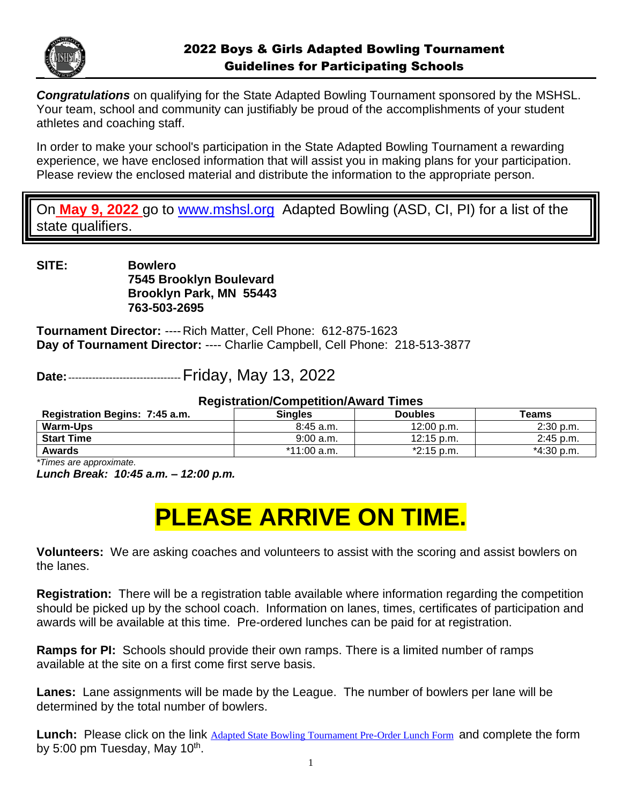

*Congratulations* on qualifying for the State Adapted Bowling Tournament sponsored by the MSHSL. Your team, school and community can justifiably be proud of the accomplishments of your student athletes and coaching staff.

In order to make your school's participation in the State Adapted Bowling Tournament a rewarding experience, we have enclosed information that will assist you in making plans for your participation. Please review the enclosed material and distribute the information to the appropriate person.

On **May 9, 2022** go to [www.mshsl.org](http://www.mshsl.org/) Adapted Bowling (ASD, CI, PI) for a list of the state qualifiers.

**SITE: Bowlero 7545 Brooklyn Boulevard Brooklyn Park, MN 55443 763-503-2695**

**Tournament Director:** ---- Rich Matter, Cell Phone: 612-875-1623 **Day of Tournament Director:** ---- Charlie Campbell, Cell Phone: 218-513-3877

**Date:**---------------------------------Friday, May 13, 2022

## **Registration/Competition/Award Times**

| Registration Begins: 7:45 a.m. | <b>Singles</b> | <b>Doubles</b>       | <b>Teams</b> |
|--------------------------------|----------------|----------------------|--------------|
| <b>Warm-Ups</b>                | $8:45$ a.m.    | $12:00$ p.m.         | $2:30$ p.m.  |
| <b>Start Time</b>              | 9:00 a.m.      | $12:15 \text{ p.m.}$ | $2:45$ p.m.  |
| Awards                         | *11:00 a.m.    | $*2:15$ p.m.         | *4:30 p.m.   |

*\*Times are approximate.*

*Lunch Break: 10:45 a.m. – 12:00 p.m.*

# **PLEASE ARRIVE ON TIME.**

**Volunteers:** We are asking coaches and volunteers to assist with the scoring and assist bowlers on the lanes.

**Registration:** There will be a registration table available where information regarding the competition should be picked up by the school coach. Information on lanes, times, certificates of participation and awards will be available at this time. Pre-ordered lunches can be paid for at registration.

**Ramps for PI:** Schools should provide their own ramps. There is a limited number of ramps available at the site on a first come first serve basis.

**Lanes:** Lane assignments will be made by the League. The number of bowlers per lane will be determined by the total number of bowlers.

**Lunch:** Please click on the link [Adapted State Bowling Tournament Pre-Order Lunch Form](https://forms.office.com/Pages/ResponsePage.aspx?id=zszKVafUWEyWkX25SfrQ6q5UeERLEwBKh3qabVqsEgZUMURDMkI1VVQ4MkcyVDBMNFZFTVdJOVg2Ni4u) and complete the form by 5:00 pm Tuesday, May 10<sup>th</sup>.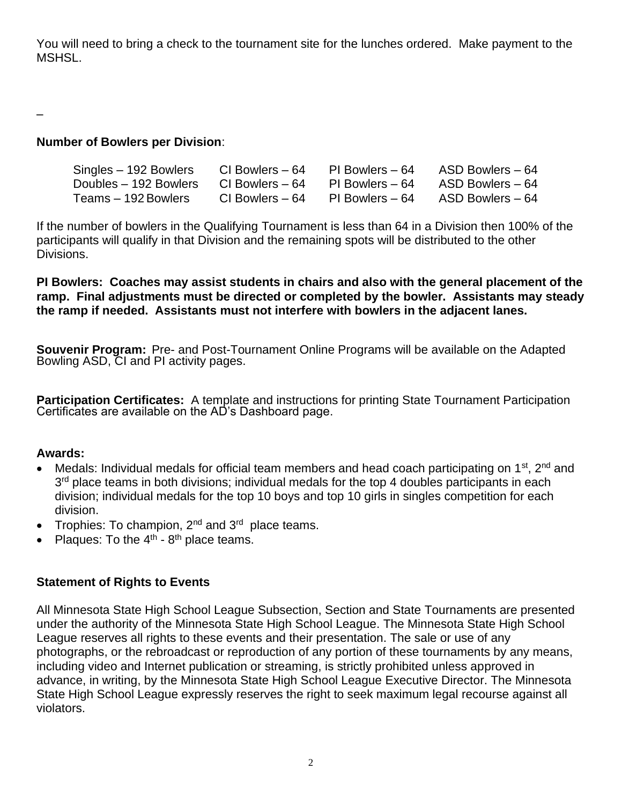You will need to bring a check to the tournament site for the lunches ordered. Make payment to the **MSHSL.** 

–

# **Number of Bowlers per Division**:

| Singles – 192 Bowlers | CI Bowlers – 64  | PI Bowlers – 64 | ASD Bowlers – 64 |
|-----------------------|------------------|-----------------|------------------|
| Doubles – 192 Bowlers | CI Bowlers – 64  | PI Bowlers – 64 | ASD Bowlers – 64 |
| Teams – 192 Bowlers   | CI Bowlers $-64$ | PI Bowlers – 64 | ASD Bowlers - 64 |

If the number of bowlers in the Qualifying Tournament is less than 64 in a Division then 100% of the participants will qualify in that Division and the remaining spots will be distributed to the other Divisions.

**PI Bowlers: Coaches may assist students in chairs and also with the general placement of the ramp. Final adjustments must be directed or completed by the bowler. Assistants may steady the ramp if needed. Assistants must not interfere with bowlers in the adjacent lanes.**

**Souvenir Program:** Pre- and Post-Tournament Online Programs will be available on the Adapted Bowling ASD, CI and PI activity pages.

**Participation Certificates:** A template and instructions for printing State Tournament Participation Certificates are available on the AD's Dashboard page.

## **Awards:**

- Medals: Individual medals for official team members and head coach participating on 1<sup>st</sup>, 2<sup>nd</sup> and 3<sup>rd</sup> place teams in both divisions; individual medals for the top 4 doubles participants in each division; individual medals for the top 10 boys and top 10 girls in singles competition for each division.
- Trophies: To champion,  $2^{nd}$  and  $3^{rd}$  place teams.
- Plaques: To the  $4<sup>th</sup>$  8<sup>th</sup> place teams.

# **Statement of Rights to Events**

All Minnesota State High School League Subsection, Section and State Tournaments are presented under the authority of the Minnesota State High School League. The Minnesota State High School League reserves all rights to these events and their presentation. The sale or use of any photographs, or the rebroadcast or reproduction of any portion of these tournaments by any means, including video and Internet publication or streaming, is strictly prohibited unless approved in advance, in writing, by the Minnesota State High School League Executive Director. The Minnesota State High School League expressly reserves the right to seek maximum legal recourse against all violators.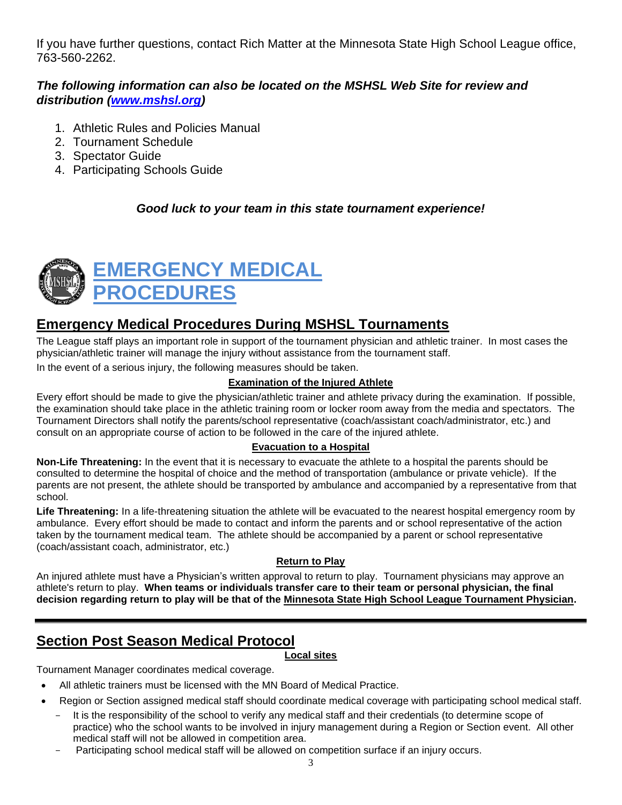If you have further questions, contact Rich Matter at the Minnesota State High School League office, 763-560-2262.

# *The following information can also be located on the MSHSL Web Site for review and distribution [\(www.mshsl.org\)](http://www.mshsl.org/)*

- 1. Athletic Rules and Policies Manual
- 2. Tournament Schedule
- 3. Spectator Guide
- 4. Participating Schools Guide

## *Good luck to your team in this state tournament experience!*



# **Emergency Medical Procedures During MSHSL Tournaments**

The League staff plays an important role in support of the tournament physician and athletic trainer. In most cases the physician/athletic trainer will manage the injury without assistance from the tournament staff.

In the event of a serious injury, the following measures should be taken.

## **Examination of the Injured Athlete**

Every effort should be made to give the physician/athletic trainer and athlete privacy during the examination. If possible, the examination should take place in the athletic training room or locker room away from the media and spectators. The Tournament Directors shall notify the parents/school representative (coach/assistant coach/administrator, etc.) and consult on an appropriate course of action to be followed in the care of the injured athlete.

## **Evacuation to a Hospital**

**Non-Life Threatening:** In the event that it is necessary to evacuate the athlete to a hospital the parents should be consulted to determine the hospital of choice and the method of transportation (ambulance or private vehicle). If the parents are not present, the athlete should be transported by ambulance and accompanied by a representative from that school.

**Life Threatening:** In a life-threatening situation the athlete will be evacuated to the nearest hospital emergency room by ambulance. Every effort should be made to contact and inform the parents and or school representative of the action taken by the tournament medical team. The athlete should be accompanied by a parent or school representative (coach/assistant coach, administrator, etc.)

## **Return to Play**

An injured athlete must have a Physician's written approval to return to play. Tournament physicians may approve an athlete's return to play. **When teams or individuals transfer care to their team or personal physician, the final decision regarding return to play will be that of the Minnesota State High School League Tournament Physician.**

# **Section Post Season Medical Protocol**

## **Local sites**

Tournament Manager coordinates medical coverage.

- All athletic trainers must be licensed with the MN Board of Medical Practice.
- Region or Section assigned medical staff should coordinate medical coverage with participating school medical staff.
- It is the responsibility of the school to verify any medical staff and their credentials (to determine scope of practice) who the school wants to be involved in injury management during a Region or Section event. All other medical staff will not be allowed in competition area.
- Participating school medical staff will be allowed on competition surface if an injury occurs.